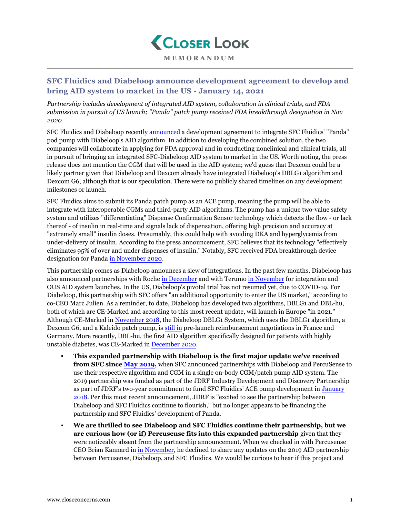

**MEMORANDUM**

## **SFC Fluidics and Diabeloop announce development agreement to develop and bring AID system to market in the US - January 14, 2021**

*Partnership includes development of integrated AID system, collaboration in clinical trials, and FDA submission in pursuit of US launch; "Panda" patch pump received FDA breakthrough designation in Nov 2020*

SFC Fluidics and Diabeloop recently [announced](https://www.sfc-fluidics.com/news-1/2021/1/7/diabeloop-sa-and-sfc-fluidics-inc-announce-development-agreement-for-the-united-states) a development agreement to integrate SFC Fluidics' "Panda" pod pump with Diabeloop's AID algorithm. In addition to developing the combined solution, the two companies will collaborate in applying for FDA approval and in conducting nonclinical and clinical trials, all in pursuit of bringing an integrated SFC-Diabeloop AID system to market in the US. Worth noting, the press release does not mention the CGM that will be used in the AID system; we'd guess that Dexcom could be a likely partner given that Diabeloop and Dexcom already have integrated Diabeloop's DBLG1 algorithm and Dexcom G6, although that is our speculation. There were no publicly shared timelines on any development milestones or launch.

SFC Fluidics aims to submit its Panda patch pump as an ACE pump, meaning the pump will be able to integrate with interoperable CGMs and third-party AID algorithms. The pump has a unique two-value safety system and utilizes "differentiating" Dispense Confirmation Sensor technology which detects the flow - or lack thereof - of insulin in real-time and signals lack of dispensation, offering high precision and accuracy at "extremely small" insulin doses. Presumably, this could help with avoiding DKA and hyperglycemia from under-delivery of insulin. According to the press announcement, SFC believes that its technology "effectively eliminates 95% of over and under dispenses of insulin." Notably, SFC received FDA breakthrough device designation for Panda [in November 2020](https://www.sfc-fluidics.com/news-1/2020/12/1/sfc-fluidics-inc-receives-fda-breakthrough-device-designation).

This partnership comes as Diabeloop announces a slew of integrations. In the past few months, Diabeloop has also announced partnerships with Roche [in December](https://www.closeconcerns.com/knowledgebase/r/9e5fd064) and with Terumo [in November](https://www.closeconcerns.com/knowledgebase/r/ed479dd1) for integration and OUS AID system launches. In the US, Diabeloop's pivotal trial has not resumed yet, due to COVID-19. For Diabeloop, this partnership with SFC offers "an additional opportunity to enter the US market," according to co-CEO Marc Julien. As a reminder, to date, Diabeloop has developed two algorithms, DBLG1 and DBL-hu, both of which are CE-Marked and according to this most recent update, will launch in Europe "in 2021." Although CE-Marked in [November 2018](https://www.closeconcerns.com/knowledgebase/r/37a64b31), the Diabeloop DBLG1 System, which uses the DBLG1 algorithm, a Dexcom G6, and a Kaleido patch pump, is [still in](https://www.closeconcerns.com/knowledgebase/r/713369d6#Diabeloop) pre-launch reimbursement negotiations in France and Germany. More recently, DBL-hu, the first AID algorithm specifically designed for patients with highly unstable diabetes, was CE-Marked in [December 2020](https://www.closeconcerns.com/knowledgebase/r/a345046b).

- **This expanded partnership with Diabeloop is the first major update we've received from SFC since [May 2019,](https://www.closeconcerns.com/knowledgebase/r/27be0fae)** when SFC announced partnerships with Diabeloop and PercuSense to use their respective algorithm and CGM in a single on-body CGM/patch pump AID system. The 2019 partnership was funded as part of the JDRF Industry Development and Discovery Partnership as part of JDRF's two-year commitment to fund SFC Fluidics' ACE pump development in [January](https://www.closeconcerns.com/knowledgebase/r/9361107d) [2018.](https://www.closeconcerns.com/knowledgebase/r/9361107d) Per this most recent announcement, JDRF is "excited to see the partnership between Diabeloop and SFC Fluidics continue to flourish," but no longer appears to be financing the partnership and SFC Fluidics' development of Panda.
- **We are thrilled to see Diabeloop and SFC Fluidics continue their partnership, but we are curious how (or if) Percusense fits into this expanded partnership** given that they were noticeably absent from the partnership announcement. When we checked in with Percusense CEO Brian Kannard in [in November](https://www.closeconcerns.com/knowledgebase/r/42e436c8#Can_you_share_any_updates_on_the_AID_partnership_with_Diabeloop_and_SFC_Fluidics), he declined to share any updates on the 2019 AID partnership between Percusense, Diabeloop, and SFC Fluidics. We would be curious to hear if this project and